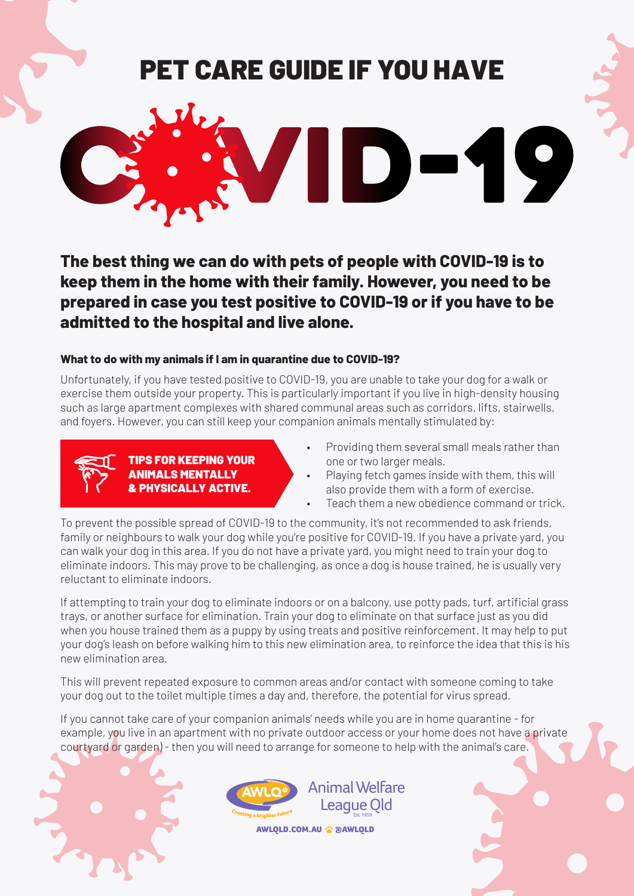# PET CARE GUIDE IF YOU HAVE



**The best thing we can do with pets of people with COVID-19 is to keep them in the home with their family. However, you need to be prepared in case you test positive to COVID-19 or if you have to be admitted to the hospital and live alone.**

## **What to do with my animals if I am in quarantine due to COVID-19?**

Unfortunately, if you have tested positive to COVID-19, you are unable to take your dog for a walk or exercise them outside your property. This is particularly important if you live in high-density housing such as large apartment complexes with shared communal areas such as corridors, lifts, stairwells, and foyers. However, you can still keep your companion animals mentally stimulated by:



#### TIPS FOR KEEPING YOUR ANIMALS MENTALLY & PHYSICALLY ACTIVE.

- Providing them several small meals rather than one or two larger meals.
- Playing fetch games inside with them, this will also provide them with a form of exercise.
- Teach them a new obedience command or trick.

To prevent the possible spread of COVID-19 to the community, it's not recommended to ask friends, family or neighbours to walk your dog while you're positive for COVID-19. If you have a private yard, you can walk your dog in this area. If you do not have a private yard, you might need to train your dog to eliminate indoors. This may prove to be challenging, as once a dog is house trained, he is usually very reluctant to eliminate indoors.

If attempting to train your dog to eliminate indoors or on a balcony, use potty pads, turf, artificial grass trays, or another surface for elimination. Train your dog to eliminate on that surface just as you did when you house trained them as a puppy by using treats and positive reinforcement. It may help to put your dog's leash on before walking him to this new elimination area, to reinforce the idea that this is his new elimination area.

This will prevent repeated exposure to common areas and/or contact with someone coming to take your dog out to the toilet multiple times a day and, therefore, the potential for virus spread.

If you cannot take care of your companion animals' needs while you are in home quarantine - for example, you live in an apartment with no private outdoor access or your home does not have a private courtyard or garden) - then you will need to arrange for someone to help with the animal's care.





AWLQLD.COM.AU : @AWLQLD